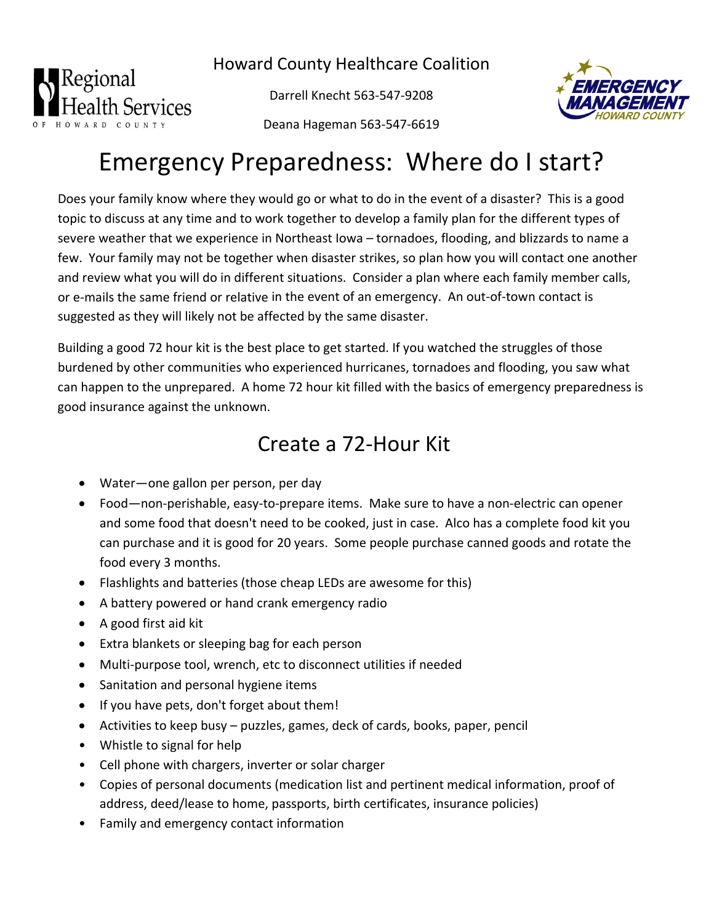Howard County Healthcare Coalition



Darrell Knecht 563‐547‐9208



Deana Hageman 563‐547‐6619

## Emergency Preparedness: Where do I start?

Does your family know where they would go or what to do in the event of a disaster? This is a good topic to discuss at any time and to work together to develop a family plan for the different types of severe weather that we experience in Northeast Iowa – tornadoes, flooding, and blizzards to name a few. Your family may not be together when disaster strikes, so plan how you will contact one another and review what you will do in different situations. Consider a plan where each family member calls, or e-mails the same friend or relative in the event of an emergency. An out-of-town contact is suggested as they will likely not be affected by the same disaster.

Building a good 72 hour kit is the best place to get started. If you watched the struggles of those burdened by other communities who experienced hurricanes, tornadoes and flooding, you saw what can happen to the unprepared. A home 72 hour kit filled with the basics of emergency preparedness is good insurance against the unknown.

## Create a 72‐Hour Kit

- Water—one gallon per person, per day
- Food—non‐perishable, easy‐to‐prepare items. Make sure to have a non‐electric can opener and some food that doesn't need to be cooked, just in case. Alco has a complete food kit you can purchase and it is good for 20 years. Some people purchase canned goods and rotate the food every 3 months.
- Flashlights and batteries (those cheap LEDs are awesome for this)
- A battery powered or hand crank emergency radio
- A good first aid kit
- Extra blankets or sleeping bag for each person
- Multi-purpose tool, wrench, etc to disconnect utilities if needed
- Sanitation and personal hygiene items
- If you have pets, don't forget about them!
- Activities to keep busy puzzles, games, deck of cards, books, paper, pencil
- Whistle to signal for help
- Cell phone with chargers, inverter or solar charger
- Copies of personal documents (medication list and pertinent medical information, proof of address, deed/lease to home, passports, birth certificates, insurance policies)
- Family and emergency contact information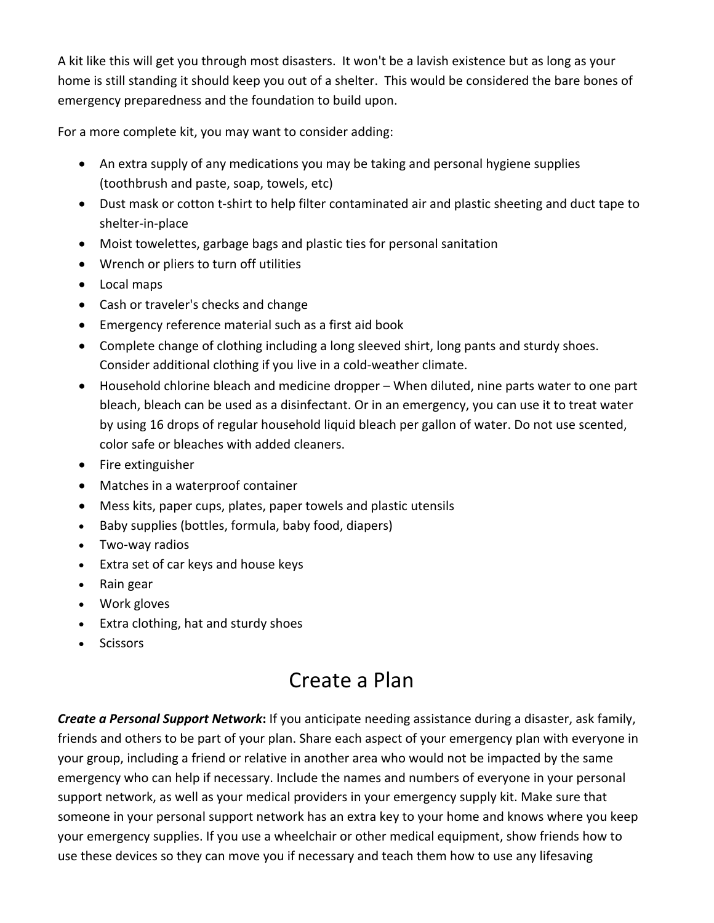A kit like this will get you through most disasters. It won't be a lavish existence but as long as your home is still standing it should keep you out of a shelter. This would be considered the bare bones of emergency preparedness and the foundation to build upon.

For a more complete kit, you may want to consider adding:

- An extra supply of any medications you may be taking and personal hygiene supplies (toothbrush and paste, soap, towels, etc)
- Dust mask or cotton t-shirt to help filter contaminated air and plastic sheeting and duct tape to shelter‐in‐place
- Moist towelettes, garbage bags and plastic ties for personal sanitation
- Wrench or pliers to turn off utilities
- Local maps
- Cash or traveler's checks and change
- Emergency reference material such as a first aid book
- Complete change of clothing including a long sleeved shirt, long pants and sturdy shoes. Consider additional clothing if you live in a cold‐weather climate.
- Household chlorine bleach and medicine dropper When diluted, nine parts water to one part bleach, bleach can be used as a disinfectant. Or in an emergency, you can use it to treat water by using 16 drops of regular household liquid bleach per gallon of water. Do not use scented, color safe or bleaches with added cleaners.
- Fire extinguisher
- Matches in a waterproof container
- Mess kits, paper cups, plates, paper towels and plastic utensils
- Baby supplies (bottles, formula, baby food, diapers)
- Two-way radios
- Extra set of car keys and house keys
- Rain gear
- Work gloves
- Extra clothing, hat and sturdy shoes
- **Scissors**

## Create a Plan

*Create a Personal Support Network***:** If you anticipate needing assistance during a disaster, ask family, friends and others to be part of your plan. Share each aspect of your emergency plan with everyone in your group, including a friend or relative in another area who would not be impacted by the same emergency who can help if necessary. Include the names and numbers of everyone in your personal support network, as well as your medical providers in your emergency supply kit. Make sure that someone in your personal support network has an extra key to your home and knows where you keep your emergency supplies. If you use a wheelchair or other medical equipment, show friends how to use these devices so they can move you if necessary and teach them how to use any lifesaving